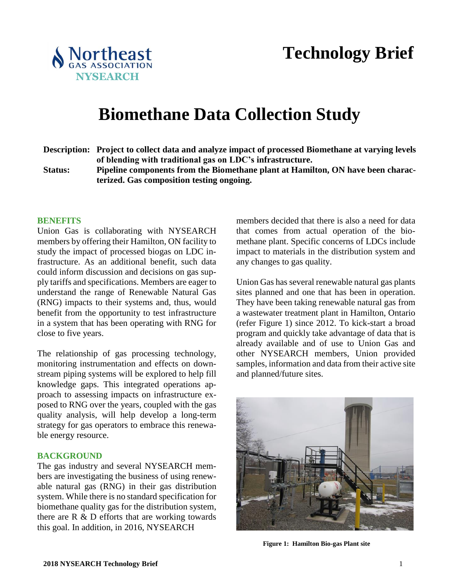

**Technology Brief**

# **Biomethane Data Collection Study**

- **Description: Project to collect data and analyze impact of processed Biomethane at varying levels of blending with traditional gas on LDC's infrastructure.**
- **Status: Pipeline components from the Biomethane plant at Hamilton, ON have been characterized. Gas composition testing ongoing.**

#### **BENEFITS**

Union Gas is collaborating with NYSEARCH members by offering their Hamilton, ON facility to study the impact of processed biogas on LDC infrastructure. As an additional benefit, such data could inform discussion and decisions on gas supply tariffs and specifications. Members are eager to understand the range of Renewable Natural Gas (RNG) impacts to their systems and, thus, would benefit from the opportunity to test infrastructure in a system that has been operating with RNG for close to five years.

The relationship of gas processing technology, monitoring instrumentation and effects on downstream piping systems will be explored to help fill knowledge gaps. This integrated operations approach to assessing impacts on infrastructure exposed to RNG over the years, coupled with the gas quality analysis, will help develop a long-term strategy for gas operators to embrace this renewable energy resource.

## **BACKGROUND**

The gas industry and several NYSEARCH members are investigating the business of using renewable natural gas (RNG) in their gas distribution system. While there is no standard specification for biomethane quality gas for the distribution system, there are R & D efforts that are working towards this goal. In addition, in 2016, NYSEARCH

members decided that there is also a need for data that comes from actual operation of the biomethane plant. Specific concerns of LDCs include impact to materials in the distribution system and any changes to gas quality.

Union Gas has several renewable natural gas plants sites planned and one that has been in operation. They have been taking renewable natural gas from a wastewater treatment plant in Hamilton, Ontario (refer Figure 1) since 2012. To kick-start a broad program and quickly take advantage of data that is already available and of use to Union Gas and other NYSEARCH members, Union provided samples, information and data from their active site and planned/future sites.



**Figure 1: Hamilton Bio-gas Plant site**